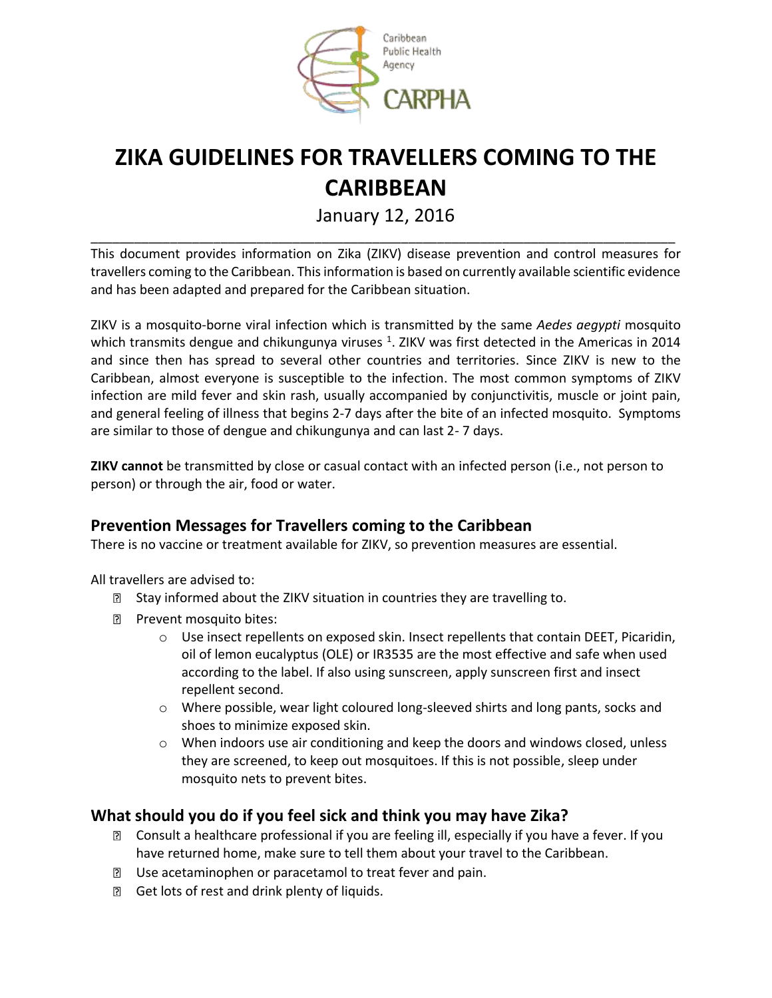

# **ZIKA GUIDELINES FOR TRAVELLERS COMING TO THE CARIBBEAN**

January 12, 2016 \_\_\_\_\_\_\_\_\_\_\_\_\_\_\_\_\_\_\_\_\_\_\_\_\_\_\_\_\_\_\_\_\_\_\_\_\_\_\_\_\_\_\_\_\_\_\_\_\_\_\_\_\_\_\_\_\_\_\_\_\_\_\_\_\_\_\_\_\_\_\_\_\_\_\_\_\_\_\_\_\_

This document provides information on Zika (ZIKV) disease prevention and control measures for travellers coming to the Caribbean. This information is based on currently available scientific evidence and has been adapted and prepared for the Caribbean situation.

ZIKV is a mosquito-borne viral infection which is transmitted by the same *Aedes aegypti* mosquito which transmits dengue and chikungunya viruses <sup>1</sup>. ZIKV was first detected in the Americas in 2014 and since then has spread to several other countries and territories. Since ZIKV is new to the Caribbean, almost everyone is susceptible to the infection. The most common symptoms of ZIKV infection are mild fever and skin rash, usually accompanied by conjunctivitis, muscle or joint pain, and general feeling of illness that begins 2-7 days after the bite of an infected mosquito. Symptoms are similar to those of dengue and chikungunya and can last 2- 7 days.

**ZIKV cannot** be transmitted by close or casual contact with an infected person (i.e., not person to person) or through the air, food or water.

## **Prevention Messages for Travellers coming to the Caribbean**

There is no vaccine or treatment available for ZIKV, so prevention measures are essential.

All travellers are advised to:

- **E** Stay informed about the ZIKV situation in countries they are travelling to.
- **Prevent mosquito bites:** 
	- o Use insect repellents on exposed skin. Insect repellents that contain DEET, Picaridin, oil of lemon eucalyptus (OLE) or IR3535 are the most effective and safe when used according to the label. If also using sunscreen, apply sunscreen first and insect repellent second.
	- o Where possible, wear light coloured long-sleeved shirts and long pants, socks and shoes to minimize exposed skin.
	- $\circ$  When indoors use air conditioning and keep the doors and windows closed, unless they are screened, to keep out mosquitoes. If this is not possible, sleep under mosquito nets to prevent bites.

## **What should you do if you feel sick and think you may have Zika?**

- **B** Consult a healthcare professional if you are feeling ill, especially if you have a fever. If you have returned home, make sure to tell them about your travel to the Caribbean.
- D Use acetaminophen or paracetamol to treat fever and pain.
- **B** Get lots of rest and drink plenty of liquids.